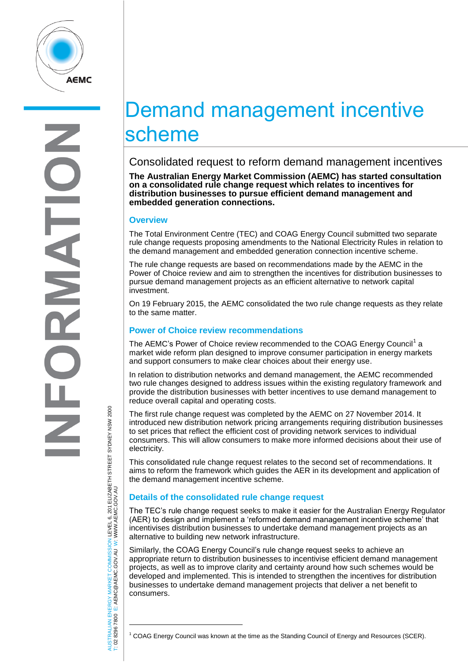

# Demand management incentive scheme

Consolidated request to reform demand management incentives

**The Australian Energy Market Commission (AEMC) has started consultation on a consolidated rule change request which relates to incentives for distribution businesses to pursue efficient demand management and embedded generation connections.**

## **Overview**

The Total Environment Centre (TEC) and COAG Energy Council submitted two separate rule change requests proposing amendments to the National Electricity Rules in relation to the demand management and embedded generation connection incentive scheme.

The rule change requests are based on recommendations made by the AEMC in the Power of Choice review and aim to strengthen the incentives for distribution businesses to pursue demand management projects as an efficient alternative to network capital investment.

On 19 February 2015, the AEMC consolidated the two rule change requests as they relate to the same matter.

## **Power of Choice review recommendations**

The AEMC's Power of Choice review recommended to the COAG Energy Council<sup>1</sup> a market wide reform plan designed to improve consumer participation in energy markets and support consumers to make clear choices about their energy use.

In relation to distribution networks and demand management, the AEMC recommended two rule changes designed to address issues within the existing regulatory framework and provide the distribution businesses with better incentives to use demand management to reduce overall capital and operating costs.

The first rule change request was completed by the AEMC on 27 November 2014. It introduced new distribution network pricing arrangements requiring distribution businesses to set prices that reflect the efficient cost of providing network services to individual consumers. This will allow consumers to make more informed decisions about their use of electricity.

This consolidated rule change request relates to the second set of recommendations. It aims to reform the framework which guides the AER in its development and application of the demand management incentive scheme.

## **Details of the consolidated rule change request**

The TEC's rule change request seeks to make it easier for the Australian Energy Regulator (AER) to design and implement a 'reformed demand management incentive scheme' that incentivises distribution businesses to undertake demand management projects as an alternative to building new network infrastructure.

Similarly, the COAG Energy Council's rule change request seeks to achieve an appropriate return to distribution businesses to incentivise efficient demand management projects, as well as to improve clarity and certainty around how such schemes would be developed and implemented. This is intended to strengthen the incentives for distribution businesses to undertake demand management projects that deliver a net benefit to consumers.

 $\overline{a}$ 

AUSTRALIAN ENERGY MARKET COMMISSION LEVEL 6, 201 ELIZABETH STREET SYDNEY NSW 2000 AUSTRALIAN ENERGY MARKET COMMISSION LEVEL 6, 201 ELIZABETH STREET SYDNEY NSW 2000<br>T: 02 8296 7800 E: AEMC@AEMC.GOV.AU W: WWW.AEMC.GOV.AU W: WWW.AEMC.GOV.AU T: 02 8296 7800 E: AEMC@AEMC.GOV.AU

 $1$  COAG Energy Council was known at the time as the Standing Council of Energy and Resources (SCER).